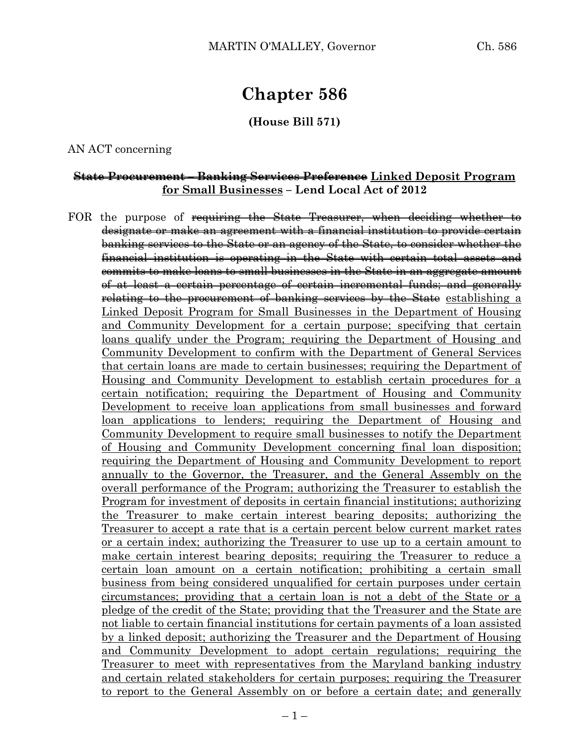# **Chapter 586**

#### **(House Bill 571)**

#### AN ACT concerning

### **State Procurement – Banking Services Preference Linked Deposit Program for Small Businesses – Lend Local Act of 2012**

FOR the purpose of requiring the State Treasurer, when deciding whether to designate or make an agreement with a financial institution to provide certain banking services to the State or an agency of the State, to consider whether the financial institution is operating in the State with certain total assets and commits to make loans to small businesses in the State in an aggregate amount of at least a certain percentage of certain incremental funds; and generally relating to the procurement of banking services by the State establishing a Linked Deposit Program for Small Businesses in the Department of Housing and Community Development for a certain purpose; specifying that certain loans qualify under the Program; requiring the Department of Housing and Community Development to confirm with the Department of General Services that certain loans are made to certain businesses; requiring the Department of Housing and Community Development to establish certain procedures for a certain notification; requiring the Department of Housing and Community Development to receive loan applications from small businesses and forward loan applications to lenders; requiring the Department of Housing and Community Development to require small businesses to notify the Department of Housing and Community Development concerning final loan disposition; requiring the Department of Housing and Community Development to report annually to the Governor, the Treasurer, and the General Assembly on the overall performance of the Program; authorizing the Treasurer to establish the Program for investment of deposits in certain financial institutions; authorizing the Treasurer to make certain interest bearing deposits; authorizing the Treasurer to accept a rate that is a certain percent below current market rates or a certain index; authorizing the Treasurer to use up to a certain amount to make certain interest bearing deposits; requiring the Treasurer to reduce a certain loan amount on a certain notification; prohibiting a certain small business from being considered unqualified for certain purposes under certain circumstances; providing that a certain loan is not a debt of the State or a pledge of the credit of the State; providing that the Treasurer and the State are not liable to certain financial institutions for certain payments of a loan assisted by a linked deposit; authorizing the Treasurer and the Department of Housing and Community Development to adopt certain regulations; requiring the Treasurer to meet with representatives from the Maryland banking industry and certain related stakeholders for certain purposes; requiring the Treasurer to report to the General Assembly on or before a certain date; and generally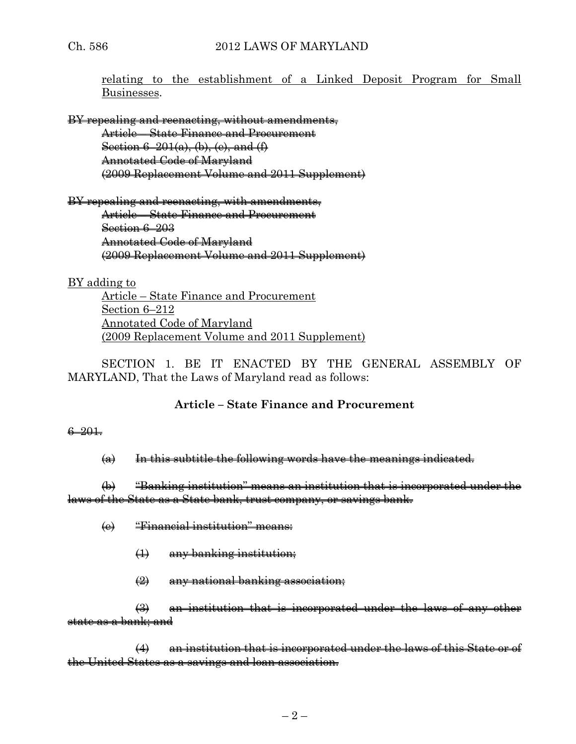relating to the establishment of a Linked Deposit Program for Small Businesses.

BY repealing and reenacting, without amendments,

Article – State Finance and Procurement Section  $6-201(a)$ , (b), (e), and  $(f)$ Annotated Code of Maryland (2009 Replacement Volume and 2011 Supplement)

BY repealing and reenacting, with amendments, Article – State Finance and Procurement Section 6–203 Annotated Code of Maryland

(2009 Replacement Volume and 2011 Supplement)

BY adding to

Article – State Finance and Procurement Section 6–212 Annotated Code of Maryland (2009 Replacement Volume and 2011 Supplement)

SECTION 1. BE IT ENACTED BY THE GENERAL ASSEMBLY OF MARYLAND, That the Laws of Maryland read as follows:

# **Article – State Finance and Procurement**

## 6–201.

 $(a)$  In this subtitle the following words have the meanings indicated.

(b) "Banking institution" means an institution that is incorporated under the laws of the State as a State bank, trust company, or savings bank.

- (e) "Financial institution" means:
	- (1) any banking institution;
	- (2) any national banking association;

(3) an institution that is incorporated under the laws of any other state as a bank; and

(4) an institution that is incorporated under the laws of this State or of the United States as a savings and loan association.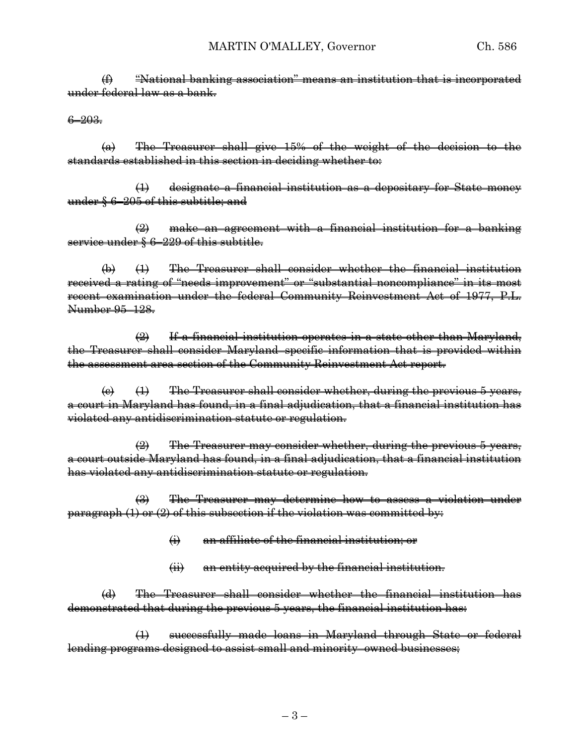(f) "National banking association" means an institution that is incorporated under federal law as a bank.

#### 6–203.

(a) The Treasurer shall give 15% of the weight of the decision to the standards established in this section in deciding whether to:

designate a financial institution as a depositary for State money under § 6–205 of this subtitle; and

(2) make an agreement with a financial institution for a banking service under § 6–229 of this subtitle.

(b) (1) The Treasurer shall consider whether the financial institution received a rating of "needs improvement" or "substantial noncompliance" in its most recent examination under the federal Community Reinvestment Act of 1977, P.L. Number 95–128.

 $\left( 2\right)$  If a financial institution operates in a state other than Maryland, the Treasurer shall consider Maryland–specific information that is provided within the assessment area section of the Community Reinvestment Act report.

 $\left(\theta\right)$  (1) The Treasurer shall consider whether, during the previous 5 years, a court in Maryland has found, in a final adjudication, that a financial institution has violated any antidiscrimination statute or regulation.

 $\left( 2\right)$  The Treasurer may consider whether, during the previous 5 years, a court outside Maryland has found, in a final adjudication, that a financial institution has violated any antidiscrimination statute or regulation.

(3) The Treasurer may determine how to assess a violation under paragraph (1) or (2) of this subsection if the violation was committed by:

- (i) an affiliate of the financial institution; or
- (ii) an entity acquired by the financial institution.

(d) The Treasurer shall consider whether the financial institution has demonstrated that during the previous 5 years, the financial institution has:

(1) successfully made loans in Maryland through State or federal lending programs designed to assist small and minority–owned businesses;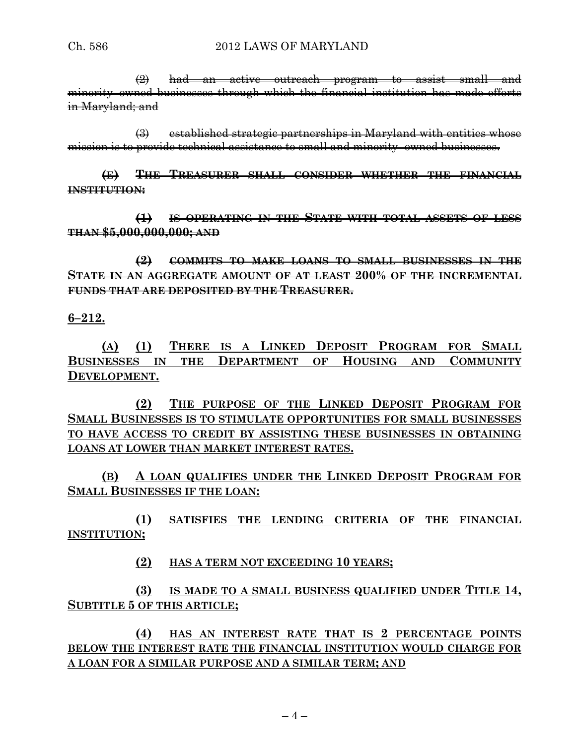(2) had an active outreach program to assist small and minority–owned businesses through which the financial institution has made efforts in Maryland; and

(3) established strategic partnerships in Maryland with entities whose mission is to provide technical assistance to small and minority–owned businesses.

**(E) THE TREASURER SHALL CONSIDER WHETHER THE FINANCIAL INSTITUTION:**

**(1) IS OPERATING IN THE STATE WITH TOTAL ASSETS OF LESS THAN \$5,000,000,000; AND**

**(2) COMMITS TO MAKE LOANS TO SMALL BUSINESSES IN THE STATE IN AN AGGREGATE AMOUNT OF AT LEAST 200% OF THE INCREMENTAL FUNDS THAT ARE DEPOSITED BY THE TREASURER.**

**6–212.**

**(A) (1) THERE IS A LINKED DEPOSIT PROGRAM FOR SMALL BUSINESSES IN THE DEPARTMENT OF HOUSING AND COMMUNITY DEVELOPMENT.**

**(2) THE PURPOSE OF THE LINKED DEPOSIT PROGRAM FOR SMALL BUSINESSES IS TO STIMULATE OPPORTUNITIES FOR SMALL BUSINESSES TO HAVE ACCESS TO CREDIT BY ASSISTING THESE BUSINESSES IN OBTAINING LOANS AT LOWER THAN MARKET INTEREST RATES.**

**(B) A LOAN QUALIFIES UNDER THE LINKED DEPOSIT PROGRAM FOR SMALL BUSINESSES IF THE LOAN:**

**(1) SATISFIES THE LENDING CRITERIA OF THE FINANCIAL INSTITUTION;**

**(2) HAS A TERM NOT EXCEEDING 10 YEARS;**

**(3) IS MADE TO A SMALL BUSINESS QUALIFIED UNDER TITLE 14, SUBTITLE 5 OF THIS ARTICLE;**

**(4) HAS AN INTEREST RATE THAT IS 2 PERCENTAGE POINTS BELOW THE INTEREST RATE THE FINANCIAL INSTITUTION WOULD CHARGE FOR A LOAN FOR A SIMILAR PURPOSE AND A SIMILAR TERM; AND**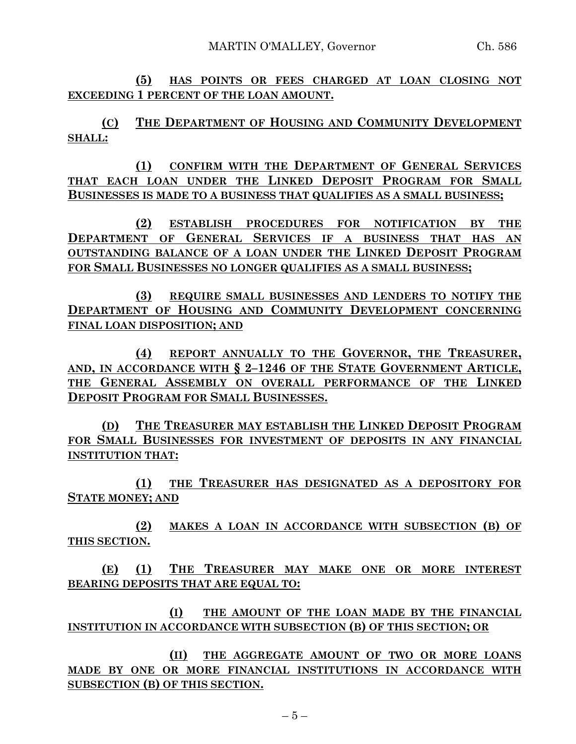**(5) HAS POINTS OR FEES CHARGED AT LOAN CLOSING NOT EXCEEDING 1 PERCENT OF THE LOAN AMOUNT.**

**(C) THE DEPARTMENT OF HOUSING AND COMMUNITY DEVELOPMENT SHALL:**

**(1) CONFIRM WITH THE DEPARTMENT OF GENERAL SERVICES THAT EACH LOAN UNDER THE LINKED DEPOSIT PROGRAM FOR SMALL BUSINESSES IS MADE TO A BUSINESS THAT QUALIFIES AS A SMALL BUSINESS;**

**(2) ESTABLISH PROCEDURES FOR NOTIFICATION BY THE DEPARTMENT OF GENERAL SERVICES IF A BUSINESS THAT HAS AN OUTSTANDING BALANCE OF A LOAN UNDER THE LINKED DEPOSIT PROGRAM FOR SMALL BUSINESSES NO LONGER QUALIFIES AS A SMALL BUSINESS;**

**(3) REQUIRE SMALL BUSINESSES AND LENDERS TO NOTIFY THE DEPARTMENT OF HOUSING AND COMMUNITY DEVELOPMENT CONCERNING FINAL LOAN DISPOSITION; AND**

**(4) REPORT ANNUALLY TO THE GOVERNOR, THE TREASURER, AND, IN ACCORDANCE WITH § 2–1246 OF THE STATE GOVERNMENT ARTICLE, THE GENERAL ASSEMBLY ON OVERALL PERFORMANCE OF THE LINKED DEPOSIT PROGRAM FOR SMALL BUSINESSES.**

**(D) THE TREASURER MAY ESTABLISH THE LINKED DEPOSIT PROGRAM FOR SMALL BUSINESSES FOR INVESTMENT OF DEPOSITS IN ANY FINANCIAL INSTITUTION THAT:**

**(1) THE TREASURER HAS DESIGNATED AS A DEPOSITORY FOR STATE MONEY; AND**

**(2) MAKES A LOAN IN ACCORDANCE WITH SUBSECTION (B) OF THIS SECTION.**

**(E) (1) THE TREASURER MAY MAKE ONE OR MORE INTEREST BEARING DEPOSITS THAT ARE EQUAL TO:**

**(I) THE AMOUNT OF THE LOAN MADE BY THE FINANCIAL INSTITUTION IN ACCORDANCE WITH SUBSECTION (B) OF THIS SECTION; OR**

**(II) THE AGGREGATE AMOUNT OF TWO OR MORE LOANS MADE BY ONE OR MORE FINANCIAL INSTITUTIONS IN ACCORDANCE WITH SUBSECTION (B) OF THIS SECTION.**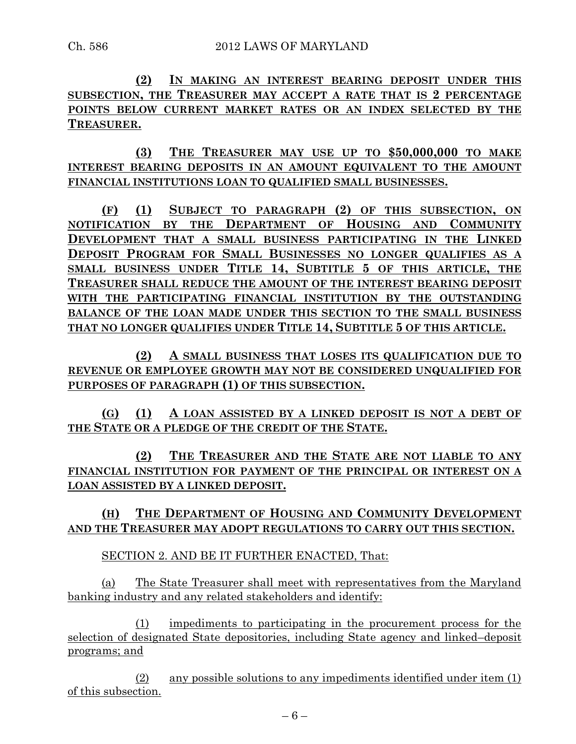**(2) IN MAKING AN INTEREST BEARING DEPOSIT UNDER THIS SUBSECTION, THE TREASURER MAY ACCEPT A RATE THAT IS 2 PERCENTAGE POINTS BELOW CURRENT MARKET RATES OR AN INDEX SELECTED BY THE TREASURER.**

**(3) THE TREASURER MAY USE UP TO \$50,000,000 TO MAKE INTEREST BEARING DEPOSITS IN AN AMOUNT EQUIVALENT TO THE AMOUNT FINANCIAL INSTITUTIONS LOAN TO QUALIFIED SMALL BUSINESSES.**

**(F) (1) SUBJECT TO PARAGRAPH (2) OF THIS SUBSECTION, ON NOTIFICATION BY THE DEPARTMENT OF HOUSING AND COMMUNITY DEVELOPMENT THAT A SMALL BUSINESS PARTICIPATING IN THE LINKED DEPOSIT PROGRAM FOR SMALL BUSINESSES NO LONGER QUALIFIES AS A SMALL BUSINESS UNDER TITLE 14, SUBTITLE 5 OF THIS ARTICLE, THE TREASURER SHALL REDUCE THE AMOUNT OF THE INTEREST BEARING DEPOSIT WITH THE PARTICIPATING FINANCIAL INSTITUTION BY THE OUTSTANDING BALANCE OF THE LOAN MADE UNDER THIS SECTION TO THE SMALL BUSINESS THAT NO LONGER QUALIFIES UNDER TITLE 14, SUBTITLE 5 OF THIS ARTICLE.**

**(2) A SMALL BUSINESS THAT LOSES ITS QUALIFICATION DUE TO REVENUE OR EMPLOYEE GROWTH MAY NOT BE CONSIDERED UNQUALIFIED FOR PURPOSES OF PARAGRAPH (1) OF THIS SUBSECTION.**

**(G) (1) A LOAN ASSISTED BY A LINKED DEPOSIT IS NOT A DEBT OF THE STATE OR A PLEDGE OF THE CREDIT OF THE STATE.**

**(2) THE TREASURER AND THE STATE ARE NOT LIABLE TO ANY FINANCIAL INSTITUTION FOR PAYMENT OF THE PRINCIPAL OR INTEREST ON A LOAN ASSISTED BY A LINKED DEPOSIT.**

**(H) THE DEPARTMENT OF HOUSING AND COMMUNITY DEVELOPMENT AND THE TREASURER MAY ADOPT REGULATIONS TO CARRY OUT THIS SECTION.**

SECTION 2. AND BE IT FURTHER ENACTED, That:

(a) The State Treasurer shall meet with representatives from the Maryland banking industry and any related stakeholders and identify:

(1) impediments to participating in the procurement process for the selection of designated State depositories, including State agency and linked–deposit programs; and

(2) any possible solutions to any impediments identified under item (1) of this subsection.